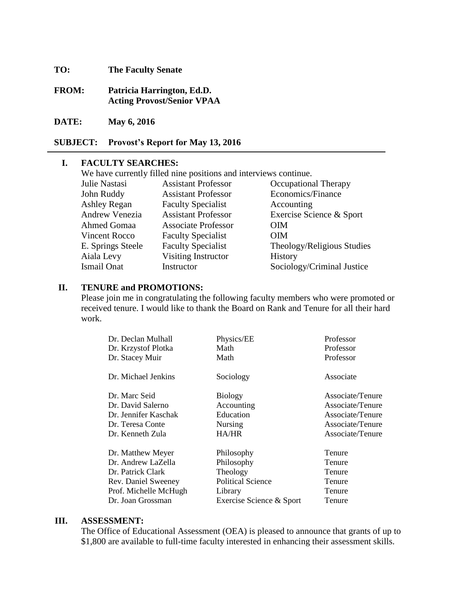**TO: The Faculty Senate**

**FROM: Patricia Harrington, Ed.D. Acting Provost/Senior VPAA**

**DATE: May 6, 2016**

**SUBJECT: Provost's Report for May 13, 2016**

#### **I. FACULTY SEARCHES:**

We have currently filled nine positions and interviews continue.

| Julie Nastasi         | <b>Assistant Professor</b> | Occupational Therapy       |
|-----------------------|----------------------------|----------------------------|
| John Ruddy            | <b>Assistant Professor</b> | Economics/Finance          |
| <b>Ashley Regan</b>   | <b>Faculty Specialist</b>  | Accounting                 |
| <b>Andrew Venezia</b> | <b>Assistant Professor</b> | Exercise Science & Sport   |
| <b>Ahmed Gomaa</b>    | <b>Associate Professor</b> | <b>OIM</b>                 |
| <b>Vincent Rocco</b>  | <b>Faculty Specialist</b>  | <b>OIM</b>                 |
| E. Springs Steele     | <b>Faculty Specialist</b>  | Theology/Religious Studies |
| Aiala Levy            | Visiting Instructor        | History                    |
| <b>Ismail Onat</b>    | Instructor                 | Sociology/Criminal Justice |

#### **II. TENURE and PROMOTIONS:**

Please join me in congratulating the following faculty members who were promoted or received tenure. I would like to thank the Board on Rank and Tenure for all their hard work.

| Dr. Declan Mulhall    | Physics/EE               | Professor        |
|-----------------------|--------------------------|------------------|
| Dr. Krzystof Plotka   | Math                     | Professor        |
| Dr. Stacey Muir       | Math                     | Professor        |
| Dr. Michael Jenkins   | Sociology                | Associate        |
| Dr. Marc Seid         | <b>Biology</b>           | Associate/Tenure |
| Dr. David Salerno     | Accounting               | Associate/Tenure |
| Dr. Jennifer Kaschak  | Education                | Associate/Tenure |
| Dr. Teresa Conte      | <b>Nursing</b>           | Associate/Tenure |
| Dr. Kenneth Zula      | <b>HA/HR</b>             | Associate/Tenure |
| Dr. Matthew Meyer     | Philosophy               | Tenure           |
| Dr. Andrew LaZella    | Philosophy               | Tenure           |
| Dr. Patrick Clark     | Theology                 | Tenure           |
| Rev. Daniel Sweeney   | <b>Political Science</b> | Tenure           |
| Prof. Michelle McHugh | Library                  | Tenure           |
| Dr. Joan Grossman     | Exercise Science & Sport | Tenure           |

#### **III. ASSESSMENT:**

The Office of Educational Assessment (OEA) is pleased to announce that grants of up to \$1,800 are available to full-time faculty interested in enhancing their assessment skills.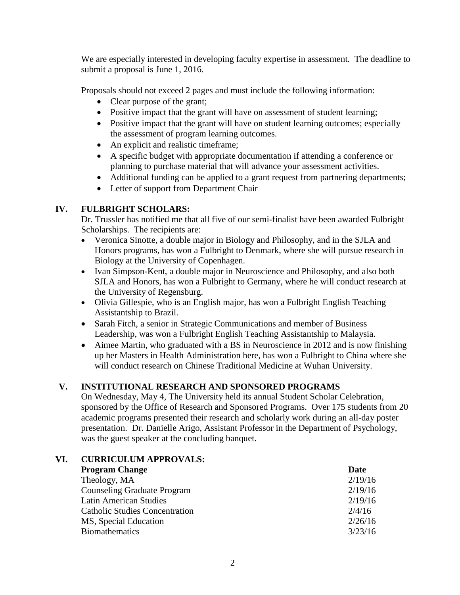We are especially interested in developing faculty expertise in assessment. The deadline to submit a proposal is June 1, 2016.

Proposals should not exceed 2 pages and must include the following information:

- Clear purpose of the grant;
- Positive impact that the grant will have on assessment of student learning;
- Positive impact that the grant will have on student learning outcomes; especially the assessment of program learning outcomes.
- An explicit and realistic timeframe;
- A specific budget with appropriate documentation if attending a conference or planning to purchase material that will advance your assessment activities.
- Additional funding can be applied to a grant request from partnering departments;
- Letter of support from Department Chair

# **IV. FULBRIGHT SCHOLARS:**

Dr. Trussler has notified me that all five of our semi-finalist have been awarded Fulbright Scholarships. The recipients are:

- Veronica Sinotte, a double major in Biology and Philosophy, and in the SJLA and Honors programs, has won a Fulbright to Denmark, where she will pursue research in Biology at the University of Copenhagen.
- Ivan Simpson-Kent, a double major in Neuroscience and Philosophy, and also both SJLA and Honors, has won a Fulbright to Germany, where he will conduct research at the University of Regensburg.
- Olivia Gillespie, who is an English major, has won a Fulbright English Teaching Assistantship to Brazil.
- Sarah Fitch, a senior in Strategic Communications and member of Business Leadership, was won a Fulbright English Teaching Assistantship to Malaysia.
- Aimee Martin, who graduated with a BS in Neuroscience in 2012 and is now finishing up her Masters in Health Administration here, has won a Fulbright to China where she will conduct research on Chinese Traditional Medicine at Wuhan University.

# **V. INSTITUTIONAL RESEARCH AND SPONSORED PROGRAMS**

On Wednesday, May 4, The University held its annual Student Scholar Celebration, sponsored by the Office of Research and Sponsored Programs. Over 175 students from 20 academic programs presented their research and scholarly work during an all-day poster presentation. Dr. Danielle Arigo, Assistant Professor in the Department of Psychology, was the guest speaker at the concluding banquet.

# **VI. CURRICULUM APPROVALS:**

| <b>Program Change</b>                 | Date    |
|---------------------------------------|---------|
| Theology, MA                          | 2/19/16 |
| <b>Counseling Graduate Program</b>    | 2/19/16 |
| <b>Latin American Studies</b>         | 2/19/16 |
| <b>Catholic Studies Concentration</b> | 2/4/16  |
| MS, Special Education                 | 2/26/16 |
| <b>Biomathematics</b>                 | 3/23/16 |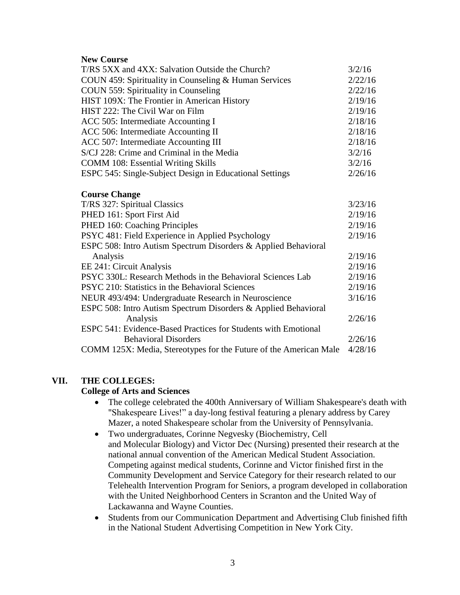## **New Course**

| T/RS 5XX and 4XX: Salvation Outside the Church?                   |         |  |
|-------------------------------------------------------------------|---------|--|
| COUN 459: Spirituality in Counseling & Human Services             |         |  |
| COUN 559: Spirituality in Counseling                              | 2/22/16 |  |
| HIST 109X: The Frontier in American History                       |         |  |
| HIST 222: The Civil War on Film                                   | 2/19/16 |  |
| ACC 505: Intermediate Accounting I                                | 2/18/16 |  |
| ACC 506: Intermediate Accounting II                               | 2/18/16 |  |
| ACC 507: Intermediate Accounting III                              |         |  |
| S/CJ 228: Crime and Criminal in the Media                         |         |  |
| <b>COMM 108: Essential Writing Skills</b>                         | 3/2/16  |  |
| ESPC 545: Single-Subject Design in Educational Settings           | 2/26/16 |  |
| <b>Course Change</b>                                              |         |  |
| T/RS 327: Spiritual Classics                                      | 3/23/16 |  |
| PHED 161: Sport First Aid                                         | 2/19/16 |  |
| PHED 160: Coaching Principles                                     | 2/19/16 |  |
| PSYC 481: Field Experience in Applied Psychology                  | 2/19/16 |  |
| ESPC 508: Intro Autism Spectrum Disorders & Applied Behavioral    |         |  |
| Analysis                                                          | 2/19/16 |  |
| EE 241: Circuit Analysis                                          | 2/19/16 |  |
| PSYC 330L: Research Methods in the Behavioral Sciences Lab        | 2/19/16 |  |
| PSYC 210: Statistics in the Behavioral Sciences                   | 2/19/16 |  |
| NEUR 493/494: Undergraduate Research in Neuroscience              | 3/16/16 |  |
| ESPC 508: Intro Autism Spectrum Disorders & Applied Behavioral    |         |  |
| Analysis                                                          | 2/26/16 |  |
| ESPC 541: Evidence-Based Practices for Students with Emotional    |         |  |
| <b>Behavioral Disorders</b>                                       | 2/26/16 |  |
| COMM 125X: Media, Stereotypes for the Future of the American Male | 4/28/16 |  |

# **VII. THE COLLEGES:**

### **College of Arts and Sciences**

- The college celebrated the 400th Anniversary of William Shakespeare's death with "Shakespeare Lives!" a day-long festival featuring a plenary address by Carey Mazer, a noted Shakespeare scholar from the University of Pennsylvania.
- Two undergraduates, Corinne Negvesky (Biochemistry, Cell and Molecular Biology) and Victor Dec (Nursing) presented their research at the national annual convention of the American Medical Student Association. Competing against medical students, Corinne and Victor finished first in the Community Development and Service Category for their research related to our Telehealth Intervention Program for Seniors, a program developed in collaboration with the United Neighborhood Centers in Scranton and the United Way of Lackawanna and Wayne Counties.
- Students from our Communication Department and Advertising Club finished fifth in the National Student Advertising Competition in New York City.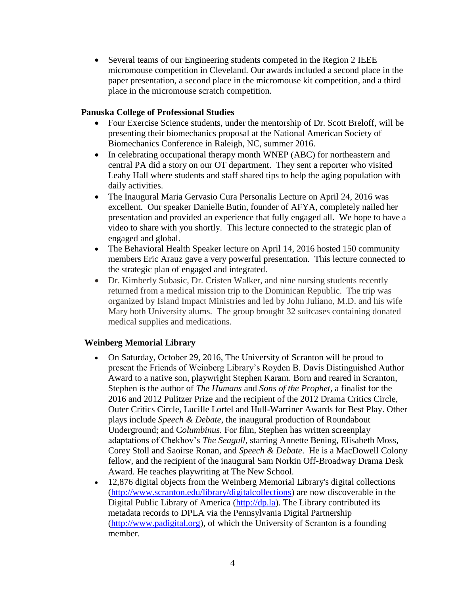Several teams of our Engineering students competed in the Region 2 IEEE micromouse competition in Cleveland. Our awards included a second place in the paper presentation, a second place in the micromouse kit competition, and a third place in the micromouse scratch competition.

## **Panuska College of Professional Studies**

- Four Exercise Science students, under the mentorship of Dr. Scott Breloff, will be presenting their biomechanics proposal at the National American Society of Biomechanics Conference in Raleigh, NC, summer 2016.
- In celebrating occupational therapy month WNEP (ABC) for northeastern and central PA did a story on our OT department. They sent a reporter who visited Leahy Hall where students and staff shared tips to help the aging population with daily activities.
- The Inaugural Maria Gervasio Cura Personalis Lecture on April 24, 2016 was excellent. Our speaker Danielle Butin, founder of AFYA, completely nailed her presentation and provided an experience that fully engaged all. We hope to have a video to share with you shortly. This lecture connected to the strategic plan of engaged and global.
- The Behavioral Health Speaker lecture on April 14, 2016 hosted 150 community members Eric Arauz gave a very powerful presentation. This lecture connected to the strategic plan of engaged and integrated.
- Dr. Kimberly Subasic, Dr. Cristen Walker, and nine nursing students recently returned from a medical mission trip to the Dominican Republic. The trip was organized by Island Impact Ministries and led by John Juliano, M.D. and his wife Mary both University alums. The group brought 32 suitcases containing donated medical supplies and medications.

# **Weinberg Memorial Library**

- On Saturday, October 29, 2016, The University of Scranton will be proud to present the Friends of Weinberg Library's Royden B. Davis Distinguished Author Award to a native son, playwright Stephen Karam. Born and reared in Scranton, Stephen is the author of *The Humans* and *Sons of the Prophet*, a finalist for the 2016 and 2012 Pulitzer Prize and the recipient of the 2012 Drama Critics Circle, Outer Critics Circle, Lucille Lortel and Hull-Warriner Awards for Best Play. Other plays include *Speech & Debate*, the inaugural production of Roundabout Underground; and C*olumbinus.* For film, Stephen has written screenplay adaptations of Chekhov's *The Seagull*, starring Annette Bening, Elisabeth Moss, Corey Stoll and Saoirse Ronan, and *Speech & Debate*. He is a MacDowell Colony fellow, and the recipient of the inaugural Sam Norkin Off-Broadway Drama Desk Award. He teaches playwriting at The New School.
- 12,876 digital objects from the Weinberg Memorial Library's digital collections [\(http://www.scranton.edu/library/digitalcollections\)](http://www.scranton.edu/library/digitalcollections) are now discoverable in the Digital Public Library of America [\(http://dp.la\)](http://dp.la/). The Library contributed its metadata records to DPLA via the Pennsylvania Digital Partnership [\(http://www.padigital.org\)](http://www.padigital.org/), of which the University of Scranton is a founding member.